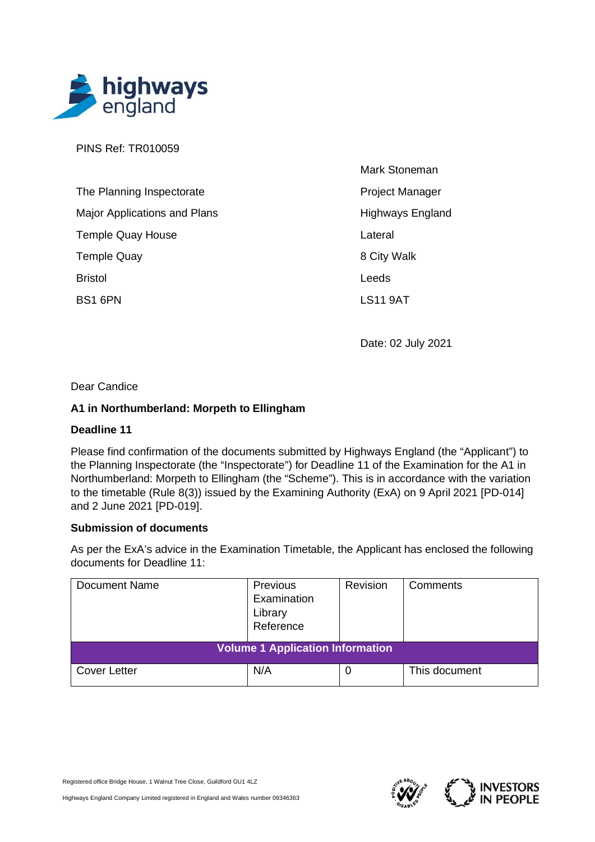

PINS Ref: TR010059

| The Planning Inspectorate           |
|-------------------------------------|
| <b>Major Applications and Plans</b> |
| <b>Temple Quay House</b>            |
| <b>Temple Quay</b>                  |
| <b>Bristol</b>                      |
| BS1 6PN                             |

Mark Stoneman Project Manager Highways England Lateral 8 City Walk Leeds LS11 9AT

Date: 02 July 2021

## Dear Candice

## **A1 in Northumberland: Morpeth to Ellingham**

#### **Deadline 11**

Please find confirmation of the documents submitted by Highways England (the "Applicant") to the Planning Inspectorate (the "Inspectorate") for Deadline 11 of the Examination for the A1 in Northumberland: Morpeth to Ellingham (the "Scheme"). This is in accordance with the variation to the timetable (Rule 8(3)) issued by the Examining Authority (ExA) on 9 April 2021 [PD-014] and 2 June 2021 [PD-019].

#### **Submission of documents**

As per the ExA's advice in the Examination Timetable, the Applicant has enclosed the following documents for Deadline 11:

| <b>Document Name</b>                    | Previous<br>Examination<br>Library<br>Reference | Revision | Comments      |
|-----------------------------------------|-------------------------------------------------|----------|---------------|
| <b>Volume 1 Application Information</b> |                                                 |          |               |
| <b>Cover Letter</b>                     | N/A                                             | 0        | This document |



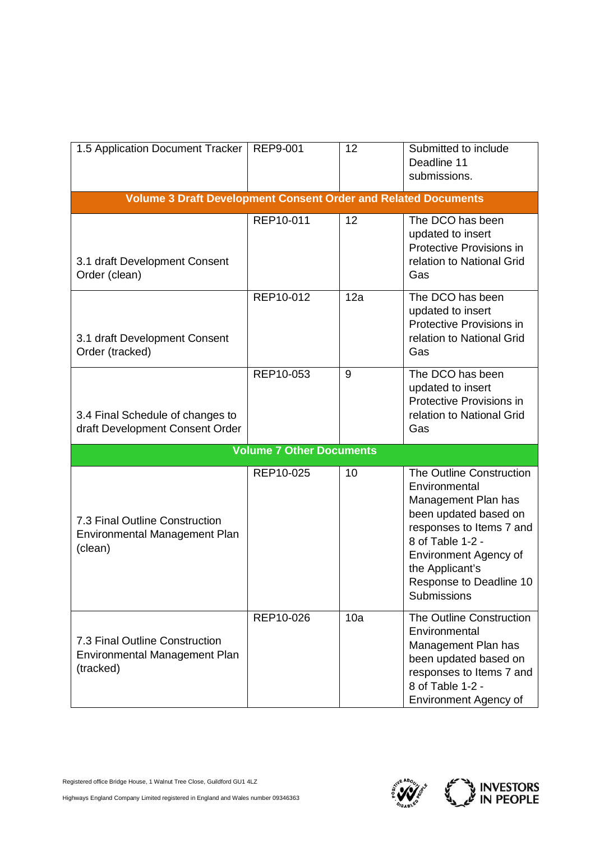| 1.5 Application Document Tracker                                             | REP9-001                        | 12  | Submitted to include<br>Deadline 11<br>submissions.                                                                                                                                                                                    |  |  |
|------------------------------------------------------------------------------|---------------------------------|-----|----------------------------------------------------------------------------------------------------------------------------------------------------------------------------------------------------------------------------------------|--|--|
| <b>Volume 3 Draft Development Consent Order and Related Documents</b>        |                                 |     |                                                                                                                                                                                                                                        |  |  |
| 3.1 draft Development Consent<br>Order (clean)                               | REP10-011                       | 12  | The DCO has been<br>updated to insert<br>Protective Provisions in<br>relation to National Grid<br>Gas                                                                                                                                  |  |  |
| 3.1 draft Development Consent<br>Order (tracked)                             | REP10-012                       | 12a | The DCO has been<br>updated to insert<br>Protective Provisions in<br>relation to National Grid<br>Gas                                                                                                                                  |  |  |
| 3.4 Final Schedule of changes to<br>draft Development Consent Order          | REP10-053                       | 9   | The DCO has been<br>updated to insert<br>Protective Provisions in<br>relation to National Grid<br>Gas                                                                                                                                  |  |  |
|                                                                              | <b>Volume 7 Other Documents</b> |     |                                                                                                                                                                                                                                        |  |  |
| 7.3 Final Outline Construction<br>Environmental Management Plan<br>(clean)   | REP10-025                       | 10  | The Outline Construction<br>Environmental<br>Management Plan has<br>been updated based on<br>responses to Items 7 and<br>8 of Table 1-2 -<br><b>Environment Agency of</b><br>the Applicant's<br>Response to Deadline 10<br>Submissions |  |  |
| 7.3 Final Outline Construction<br>Environmental Management Plan<br>(tracked) | REP10-026                       | 10a | The Outline Construction<br>Environmental<br>Management Plan has<br>been updated based on<br>responses to Items 7 and<br>8 of Table 1-2 -<br><b>Environment Agency of</b>                                                              |  |  |

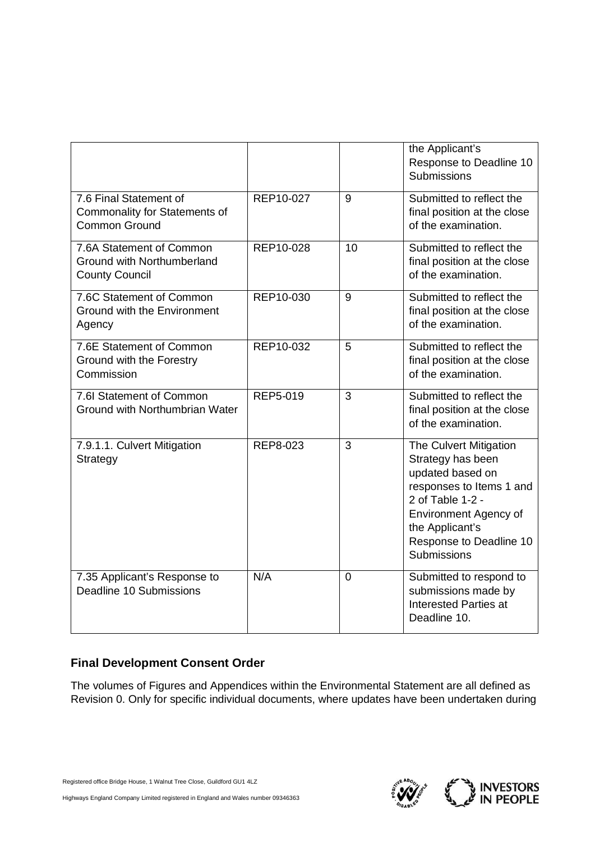|                                                                                 |           |                | the Applicant's<br>Response to Deadline 10<br><b>Submissions</b>                                                                                                                                             |
|---------------------------------------------------------------------------------|-----------|----------------|--------------------------------------------------------------------------------------------------------------------------------------------------------------------------------------------------------------|
| 7.6 Final Statement of<br>Commonality for Statements of<br><b>Common Ground</b> | REP10-027 | 9              | Submitted to reflect the<br>final position at the close<br>of the examination.                                                                                                                               |
| 7.6A Statement of Common<br>Ground with Northumberland<br><b>County Council</b> | REP10-028 | 10             | Submitted to reflect the<br>final position at the close<br>of the examination.                                                                                                                               |
| 7.6C Statement of Common<br>Ground with the Environment<br>Agency               | REP10-030 | 9              | Submitted to reflect the<br>final position at the close<br>of the examination.                                                                                                                               |
| 7.6E Statement of Common<br>Ground with the Forestry<br>Commission              | REP10-032 | 5              | Submitted to reflect the<br>final position at the close<br>of the examination.                                                                                                                               |
| 7.6I Statement of Common<br>Ground with Northumbrian Water                      | REP5-019  | 3              | Submitted to reflect the<br>final position at the close<br>of the examination.                                                                                                                               |
| 7.9.1.1. Culvert Mitigation<br>Strategy                                         | REP8-023  | 3              | The Culvert Mitigation<br>Strategy has been<br>updated based on<br>responses to Items 1 and<br>2 of Table 1-2 -<br><b>Environment Agency of</b><br>the Applicant's<br>Response to Deadline 10<br>Submissions |
| 7.35 Applicant's Response to<br>Deadline 10 Submissions                         | N/A       | $\overline{0}$ | Submitted to respond to<br>submissions made by<br><b>Interested Parties at</b><br>Deadline 10.                                                                                                               |

# **Final Development Consent Order**

The volumes of Figures and Appendices within the Environmental Statement are all defined as Revision 0. Only for specific individual documents, where updates have been undertaken during

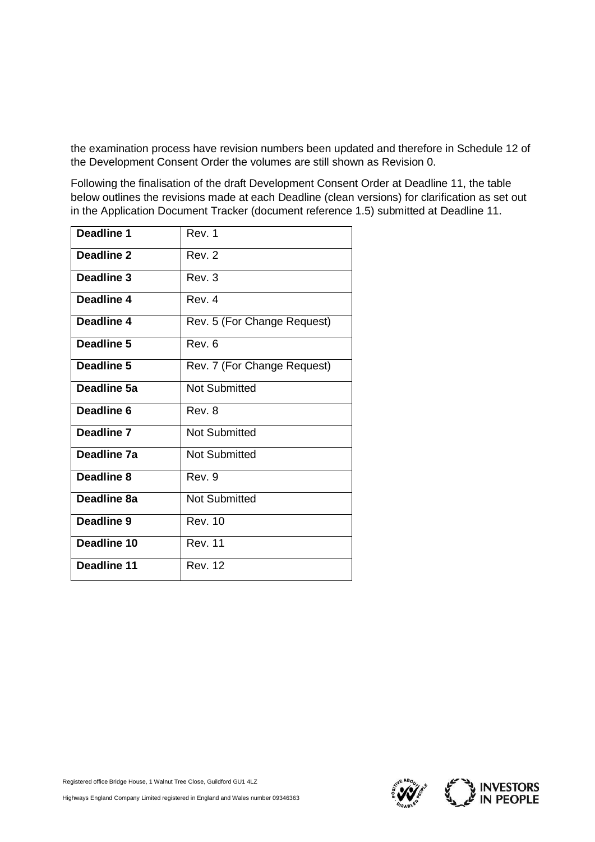the examination process have revision numbers been updated and therefore in Schedule 12 of the Development Consent Order the volumes are still shown as Revision 0.

Following the finalisation of the draft Development Consent Order at Deadline 11, the table below outlines the revisions made at each Deadline (clean versions) for clarification as set out in the Application Document Tracker (document reference 1.5) submitted at Deadline 11.

| Deadline 1  | Rev. 1                      |
|-------------|-----------------------------|
| Deadline 2  | Rev. 2                      |
| Deadline 3  | Rev. 3                      |
| Deadline 4  | Rev <sub>4</sub>            |
| Deadline 4  | Rev. 5 (For Change Request) |
| Deadline 5  | Rev. 6                      |
| Deadline 5  | Rev. 7 (For Change Request) |
| Deadline 5a | <b>Not Submitted</b>        |
| Deadline 6  | Rev. 8                      |
| Deadline 7  | <b>Not Submitted</b>        |
| Deadline 7a | <b>Not Submitted</b>        |
| Deadline 8  | Rev. 9                      |
| Deadline 8a | <b>Not Submitted</b>        |
| Deadline 9  | <b>Rev. 10</b>              |
| Deadline 10 | <b>Rev. 11</b>              |
| Deadline 11 | <b>Rev. 12</b>              |